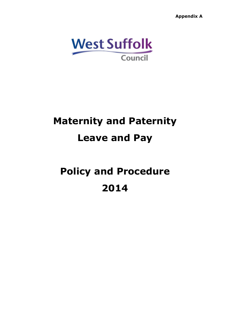**Appendix A**  $\alpha$ 



# **Maternity and Paternity Leave and Pay**

# **Policy and Procedure 2014**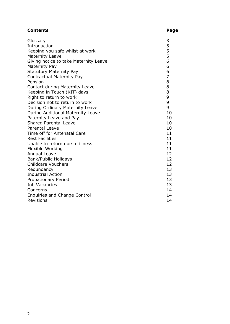# **Contents Page**

| Glossary                              | 3              |
|---------------------------------------|----------------|
| Introduction                          | 5              |
| Keeping you safe whilst at work       | 5              |
| <b>Maternity Leave</b>                | 5              |
| Giving notice to take Maternity Leave | 6              |
| Maternity Pay                         | 6              |
| <b>Statutory Maternity Pay</b>        | 6              |
| <b>Contractual Maternity Pay</b>      | $\overline{7}$ |
| Pension                               | 8              |
| <b>Contact during Maternity Leave</b> | 8              |
| Keeping in Touch (KIT) days           | 8              |
| Right to return to work               | 9              |
| Decision not to return to work        | 9              |
| During Ordinary Maternity Leave       | 9              |
| During Additional Maternity Leave     | 10             |
| Paternity Leave and Pay               | 10             |
| <b>Shared Parental Leave</b>          | 10             |
| <b>Parental Leave</b>                 | 10             |
| Time off for Antenatal Care           | 11             |
| <b>Rest Facilities</b>                | 11             |
| Unable to return due to illness       | 11             |
| Flexible Working                      | 11             |
| <b>Annual Leave</b>                   | 12             |
| Bank/Public Holidays                  | 12             |
| <b>Childcare Vouchers</b>             | 12             |
| Redundancy                            | 13             |
| <b>Industrial Action</b>              | 13             |
| <b>Probationary Period</b>            | 13             |
| <b>Job Vacancies</b>                  | 13             |
| Concerns                              | 14             |
| <b>Enquiries and Change Control</b>   | 14             |
| <b>Revisions</b>                      | 14             |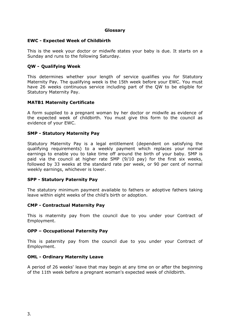# **Glossary**

### **EWC - Expected Week of Childbirth**

This is the week your doctor or midwife states your baby is due. It starts on a Sunday and runs to the following Saturday.

# **QW - Qualifying Week**

This determines whether your length of service qualifies you for Statutory Maternity Pay. The qualifying week is the 15th week before your EWC. You must have 26 weeks continuous service including part of the QW to be eligible for Statutory Maternity Pay.

### **MATB1 Maternity Certificate**

A form supplied to a pregnant woman by her doctor or midwife as evidence of the expected week of [childbirth](http://www.xperthr.co.uk/glossary/expected-week-of-childbirth/150026/). You must give this form to the council as evidence of your EWC.

### **SMP - Statutory Maternity Pay**

Statutory Maternity Pay is a legal entitlement (dependent on satisfying the qualifying requirements) to a weekly payment which replaces your normal earnings to enable you to take time off around the birth of your baby. SMP is paid via the council at higher rate SMP (9/10 pay) for the first six weeks, followed by 33 weeks at the standard rate per week, or 90 per cent of normal weekly earnings, whichever is lower.

#### **SPP - Statutory Paternity Pay**

The statutory minimum payment available to fathers or adoptive fathers taking leave within eight weeks of the child's birth or adoption.

#### **CMP - Contractual Maternity Pay**

This is maternity pay from the council due to you under your Contract of Employment.

#### **OPP – Occupational Paternity Pay**

This is paternity pay from the council due to you under your Contract of Employment.

#### **OML - Ordinary Maternity Leave**

A period of 26 weeks' leave that may begin at any time on or after the beginning of the 11th week before a pregnant woman's expected week of [childbirth.](http://www.xperthr.co.uk/glossary/expected-week-of-childbirth/150026/)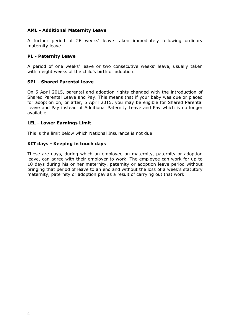# **AML - Additional Maternity Leave**

A further period of 26 weeks' leave taken immediately following [ordinary](http://www.xperthr.co.uk/glossary/ordinary-maternity-leave/150025/) [maternity](http://www.xperthr.co.uk/glossary/ordinary-maternity-leave/150025/) leave.

# **PL - Paternity Leave**

A period of one weeks' leave or two consecutive weeks' leave, usually taken within eight weeks of the child's birth or adoption.

### **SPL - Shared Parental leave**

On 5 April 2015, parental and adoption rights changed with the introduction of Shared Parental Leave and Pay. This means that if your baby was due or placed for adoption on, or after, 5 April 2015, you may be eligible for Shared Parental Leave and Pay instead of Additional Paternity Leave and Pay which is no longer available.

### **LEL - Lower Earnings Limit**

This is the limit below which National Insurance is not due.

### **KIT days - Keeping in touch days**

These are days, during which an employee on maternity, paternity or adoption leave, can agree with their employer to work. The employee can work for up to 10 days during his or her maternity, paternity or adoption leave period without bringing that period of leave to an end and without the loss of a week's statutory maternity, paternity or adoption pay as a result of carrying out that work.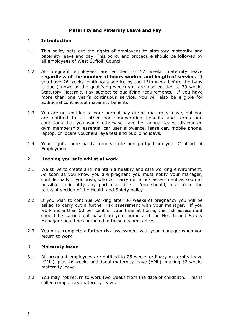# **Maternity and Paternity Leave and Pay**

# 1. **Introduction**

- 1.1 This policy sets out the rights of employees to statutory maternity and paternity leave and pay. This policy and procedure should be followed by all employees of West Suffolk Council.
- 1.2 All pregnant employees are entitled to 52 weeks maternity leave **regardless of the number of hours worked and length of service.** If you have 26 weeks continuous service by the 15th week before the baby is due (known as the qualifying week) you are also entitled to 39 weeks Statutory Maternity Pay subject to qualifying requirements. If you have more than one year's continuous service, you will also be eligible for additional contractual maternity benefits.
- 1.3 You are not entitled to your normal pay during maternity leave, but you are entitled to all other non-remuneration benefits and terms and conditions that you would otherwise have i.e. annual leave, discounted gym membership, essential car user allowance, lease car, mobile phone, laptop, childcare vouchers, eye test and public holidays.
- 1.4 Your rights come partly from statute and partly from your Contract of Employment.

### 2. **Keeping you safe whilst at work**

- 2.1 We strive to create and maintain a healthy and safe working environment. As soon as you know you are pregnant you must notify your manager, confidentially if you wish, who will carry out a risk assessment as soon as possible to identify any particular risks. You should, also, read the relevant section of the Health and Safety policy.
- 2.2 If you wish to continue working after 36 weeks of pregnancy you will be asked to carry out a further risk assessment with your manager. If you work more than 50 per cent of your time at home, the risk assessment should be carried out based on your home and the Health and Safety Manager should be contacted in these circumstances.
- 2.3 You must complete a further risk assessment with your manager when you return to work.

# 3. **Maternity leave**

- 3.1 All pregnant employees are entitled to 26 weeks ordinary maternity leave (OML), plus 26 weeks additional maternity leave (AML), making 52 weeks maternity leave.
- 3.2 You may not return to work two weeks from the date of childbirth. This is called compulsory maternity leave.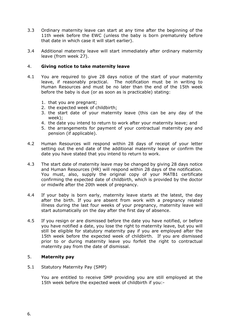- 3.3 Ordinary maternity leave can start at any time after the beginning of the 11th week before the EWC (unless the baby is born prematurely before that date in which case it will start earlier).
- 3.4 Additional maternity leave will start immediately after ordinary maternity leave (from week 27).

# 4. **Giving notice to take maternity leave**

- 4.1 You are required to give 28 days notice of the start of your maternity leave, if reasonably practical. The notification must be in writing to Human Resources and must be no later than the end of the 15th week before the baby is due (or as soon as is practicable) stating:
	- 1. that you are pregnant;
	- 2. the expected week of childbirth;
	- 3. the start date of your maternity leave (this can be any day of the week);
	- 4. the date you intend to return to work after your maternity leave; and
	- 5. the arrangements for payment of your contractual maternity pay and pension (if applicable).
- 4.2 Human Resources will respond within 28 days of receipt of your letter setting out the end date of the additional maternity leave or confirm the date you have stated that you intend to return to work.
- 4.3 The start date of maternity leave may be changed by giving 28 days notice and Human Resources (HR) will respond within 28 days of the notification. You must, also, supply the original copy of your MATB1 certificate confirming the expected date of childbirth, which is provided by the doctor or midwife after the 20th week of pregnancy.
- 4.4 If your baby is born early, maternity leave starts at the latest, the day after the birth. If you are absent from work with a pregnancy related illness during the last four weeks of your pregnancy, maternity leave will start automatically on the day after the first day of absence.
- 4.5 If you resign or are dismissed before the date you have notified, or before you have notified a date, you lose the right to maternity leave, but you will still be eligible for statutory maternity pay if you are employed after the 15th week before the expected week of childbirth. If you are dismissed prior to or during maternity leave you forfeit the right to contractual maternity pay from the date of dismissal.

# 5. **Maternity pay**

### 5.1 Statutory Maternity Pay (SMP)

You are entitled to receive SMP providing you are still employed at the 15th week before the expected week of childbirth if you:-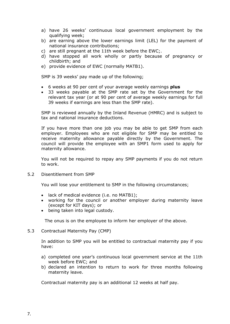- a) have 26 weeks' continuous local government employment by the qualifying week;
- b) are earning above the lower earnings limit (LEL) for the payment of national insurance contributions;
- c) are still pregnant at the 11th week before the EWC;.
- d) have stopped all work wholly or partly because of pregnancy or childbirth; and
- e) provide evidence of EWC (normally MATB1).

SMP is 39 weeks' pay made up of the following;

- 6 weeks at 90 per cent of your average weekly earnings **plus**
- 33 weeks payable at the SMP rate set by the Government for the relevant tax year (or at 90 per cent of average weekly earnings for full 39 weeks if earnings are less than the SMP rate).

SMP is reviewed annually by the Inland Revenue (HMRC) and is subject to tax and national insurance deductions.

If you have more than one job you may be able to get SMP from each employer. Employees who are not eligible for SMP may be entitled to receive maternity allowance payable directly by the Government. The council will provide the employee with an SMP1 form used to apply for maternity allowance.

You will not be required to repay any SMP payments if you do not return to work.

5.2 Disentitlement from SMP

You will lose your entitlement to SMP in the following circumstances;

- lack of medical evidence (i.e. no MATB1);
- working for the council or another employer during maternity leave (except for KIT days); or
- being taken into legal custody.

The onus is on the employee to inform her employer of the above.

5.3 Contractual Maternity Pay (CMP)

In addition to SMP you will be entitled to contractual maternity pay if you have:

- a) completed one year's continuous local government service at the 11th week before EWC; and
- b) declared an intention to return to work for three months following maternity leave.

Contractual maternity pay is an additional 12 weeks at half pay.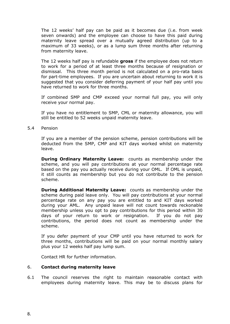The 12 weeks' half pay can be paid as it becomes due (i.e. from week seven onwards) and the employee can choose to have this paid during maternity leave spread over a mutually agreed distribution (up to a maximum of 33 weeks), or as a lump sum three months after returning from maternity leave.

The 12 weeks half pay is refundable **gross** if the employee does not return to work for a period of at least three months because of resignation or dismissal. This three month period is not calculated on a pro-rata basis for part-time employees. If you are uncertain about returning to work it is suggested that you consider deferring payment of your half pay until you have returned to work for three months.

If combined SMP and CMP exceed your normal full pay, you will only receive your normal pay.

If you have no entitlement to SMP, CML or maternity allowance, you will still be entitled to 52 weeks unpaid maternity leave.

5.4 Pension

If you are a member of the pension scheme, pension contributions will be deducted from the SMP, CMP and KIT days worked whilst on maternity leave.

**During Ordinary Maternity Leave:** counts as membership under the scheme, and you will pay contributions at your normal percentage rate based on the pay you actually receive during your OML. If OML is unpaid, it still counts as membership but you do not contribute to the pension scheme.

**During Additional Maternity Leave:** counts as membership under the scheme during paid leave only. You will pay contributions at your normal percentage rate on any pay you are entitled to and KIT days worked during your AML. Any unpaid leave will not count towards reckonable membership unless you opt to pay contributions for this period within 30 days of your return to work or resignation. If you do not pay contributions, the period does not count as membership under the scheme.

If you defer payment of your CMP until you have returned to work for three months, contributions will be paid on your normal monthly salary plus your 12 weeks half pay lump sum.

Contact HR for further information.

#### 6. **Contact during maternity leave**

6.1 The council reserves the right to maintain reasonable contact with employees during maternity leave. This may be to discuss plans for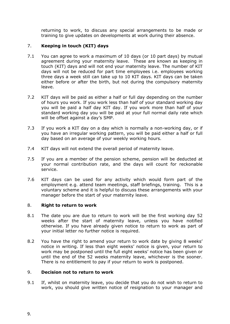returning to work, to discuss any special arrangements to be made or training to give updates on developments at work during their absence.

# 7. **Keeping in touch (KIT) days**

- 7.1 You can agree to work a maximum of 10 days (or 10 part days) by mutual agreement during your maternity leave. These are known as keeping in touch (KIT) days and will not end your maternity leave. The number of KIT days will not be reduced for part time employees i.e. employees working three days a week still can take up to 10 KIT days. KIT days can be taken either before or after the birth, but not during the compulsory maternity leave.
- 7.2 KIT days will be paid as either a half or full day depending on the number of hours you work. If you work less than half of your standard working day you will be paid a half day KIT day. If you work more than half of your standard working day you will be paid at your full normal daily rate which will be offset against a day's SMP.
- 7.3 If you work a KIT day on a day which is normally a non-working day, or if you have an irregular working pattern, you will be paid either a half or full day based on an average of your weekly working hours.
- 7.4 KIT days will not extend the overall period of maternity leave.
- 7.5 If you are a member of the pension scheme, pension will be deducted at your normal contribution rate, and the days will count for reckonable service.
- 7.6 KIT days can be used for any activity which would form part of the employment e.g. attend team meetings, staff briefings, training. This is a voluntary scheme and it is helpful to discuss these arrangements with your manager before the start of your maternity leave.

# 8. **Right to return to work**

- 8.1 The date you are due to return to work will be the first working day 52 weeks after the start of maternity leave, unless you have notified otherwise. If you have already given notice to return to work as part of your initial letter no further notice is required.
- 8.2 You have the right to amend your return to work date by giving 8 weeks' notice in writing. If less than eight weeks' notice is given, your return to work may be postponed until the full eight weeks' notice has been given or until the end of the 52 weeks maternity leave, whichever is the sooner. There is no entitlement to pay if your return to work is postponed.

# 9. **Decision not to return to work**

9.1 If, whilst on maternity leave, you decide that you do not wish to return to work, you should give written notice of resignation to your manager and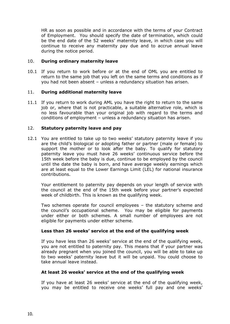HR as soon as possible and in accordance with the terms of your Contract of Employment. You should specify the date of termination, which could be the end date of the 52 weeks' maternity leave, in which case you will continue to receive any maternity pay due and to accrue annual leave during the notice period.

### 10. **During ordinary maternity leave**

10.1 If you return to work before or at the end of OML you are entitled to return to the same job that you left on the same terms and conditions as if you had not been absent – unless a redundancy situation has arisen.

### 11. **During additional maternity leave**

11.1 If you return to work during AML you have the right to return to the same job or, where that is not practicable, a suitable alternative role, which is no less favourable than your original job with regard to the terms and conditions of employment – unless a redundancy situation has arisen.

# 12. **Statutory paternity leave and pay**

12.1 You are entitled to take up to two weeks' statutory paternity leave if you are the child's biological or adopting father or partner (male or female) to support the mother or to look after the baby. To qualify for statutory paternity leave you must have 26 weeks' continuous service before the 15th week before the baby is due, continue to be employed by the council until the date the baby is born, and have average weekly earnings which are at least equal to the Lower Earnings Limit (LEL) for national insurance contributions.

Your entitlement to paternity pay depends on your length of service with the council at the end of the 15th week before your partner's expected week of childbirth. This is known as the qualifying week.

Two schemes operate for council employees – the statutory scheme and the council's occupational scheme. You may be eligible for payments under either or both schemes. A small number of employees are not eligible for payments under either scheme.

#### **Less than 26 weeks' service at the end of the qualifying week**

If you have less than 26 weeks' service at the end of the qualifying week, you are not entitled to paternity pay. This means that if your partner was already pregnant when you joined the council, you will be able to take up to two weeks' paternity leave but it will be unpaid. You could choose to take annual leave instead.

#### **At least 26 weeks' service at the end of the qualifying week**

If you have at least 26 weeks' service at the end of the qualifying week, you may be entitled to receive one weeks' full pay and one weeks'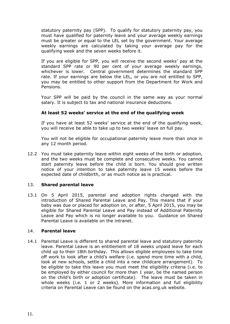statutory paternity pay (SPP). To qualify for statutory paternity pay, you must have qualified for paternity leave and your average weekly earnings must be greater or equal to the LEL set by the government. Your average weekly earnings are calculated by taking your average pay for the qualifying week and the seven weeks before it.

If you are eligible for SPP, you will receive the second weeks' pay at the standard SPP rate or 90 per cent of your average weekly earnings, whichever is lower. Central government determines the standard SPP rate. If your earnings are below the LEL, or you are not entitled to SPP, you may be entitled to other support from the Department for Work and Pensions.

Your SPP will be paid by the council in the same way as your normal salary. It is subject to tax and national insurance deductions.

# **At least 52 weeks' service at the end of the qualifying week**

If you have at least 52 weeks' service at the end of the qualifying week, you will receive be able to take up to two weeks' leave on full pay.

You will not be eligible for occupational paternity leave more than once in any 12 month period.

12.2 You must take paternity leave within eight weeks of the birth or adoption, and the two weeks must be complete and consecutive weeks. You cannot start paternity leave before the child is born. You should give written notice of your intention to take paternity leave 15 weeks before the expected date of childbirth, or as much notice as is practical.

# 13. **Shared parental leave**

13.1 On 5 April 2015, parental and adoption rights changed with the introduction of Shared Parental Leave and Pay. This means that if your baby was due or placed for adoption on, or after, 5 April 2015, you may be eligible for Shared Parental Leave and Pay instead of Additional Paternity Leave and Pay which is no longer available to you. Guidance on Shared Parental Leave is available on the intranet.

#### 14. **Parental leave**

14.1 Parental Leave is different to shared parental leave and statutory paternity leave. Parental Leave is an entitlement of 18 weeks unpaid leave for each child up to their 18th birthday. This allows eligible employees to take time off work to look after a child's welfare (i.e. spend more time with a child, look at new schools, settle a child into a new childcare arrangement). To be eligible to take this leave you must meet the eligibility criteria (i.e. to be employed by either council for more than 1 year, be the named person on the child's birth or adoption certificate). The leave must be taken in whole weeks (i.e. 1 or 2 weeks). More information and full eligibility criteria on Parental Leave can be found on the acas.org.uk website.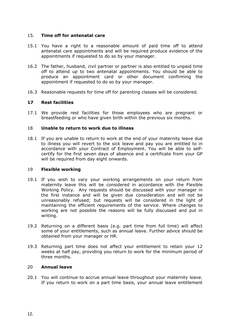# 15. **Time off for antenatal care**

- 15.1 You have a right to a reasonable amount of paid time off to attend antenatal care appointments and will be required produce evidence of the appointments if requested to do so by your manager.
- 16.2 The father, husband, civil partner or partner is also entitled to unpaid time off to attend up to two antenatal appointments. You should be able to produce an appointment card or other document confirming the appointment if requested to do so by your manager.
- 16.3 Reasonable requests for time off for parenting classes will be considered.

# **17 Rest facilities**

17.1 We provide rest facilities for those employees who are pregnant or breastfeeding or who have given birth within the previous six months.

### 18 **Unable to return to work due to illness**

18.1 If you are unable to return to work at the end of your maternity leave due to illness you will revert to the sick leave and pay you are entitled to in accordance with your Contract of Employment. You will be able to selfcertify for the first seven days of absence and a certificate from your GP will be required from day eight onwards.

#### 19 **Flexible working**

- 19.1 If you wish to vary your working arrangements on your return from maternity leave this will be considered in accordance with the Flexible Working Policy. Any requests should be discussed with your manager in the first instance and will be given due consideration and will not be unreasonably refused; but requests will be considered in the light of maintaining the efficient requirements of the service. Where changes to working are not possible the reasons will be fully discussed and put in writing.
- 19.2 Returning on a different basis (e.g. part time from full time) will affect some of your entitlements, such as annual leave. Further advice should be obtained from your manager or HR.
- 19.3 Returning part time does not affect your entitlement to retain your 12 weeks at half pay, providing you return to work for the minimum period of three months.

#### 20 **Annual leave**

20.1 You will continue to accrue annual leave throughout your maternity leave. If you return to work on a part time basis, your annual leave entitlement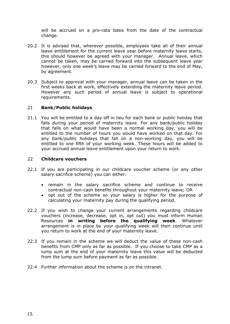will be accrued on a pro-rata basis from the date of the contractual change.

- 20.2 It is advised that, wherever possible, employees take all of their annual leave entitlement for the current leave year before maternity leave starts, this should however be agreed with your manager. Annual leave, which cannot be taken, may be carried forward into the subsequent leave year however, only one week's leave may be carried forward to the end of May, by agreement.
- 20.3 Subject to approval with your manager, annual leave can be taken in the first weeks back at work, effectively extending the maternity leave period. However any such period of annual leave is subject to operational requirements.

### 21 **Bank/Public holidays**

21.1 You will be entitled to a day off in lieu for each bank or public holiday that falls during your period of maternity leave. For any bank/public holiday that falls on what would have been a normal working day, you will be entitled to the number of hours you would have worked on that day. For any bank/public holidays that fall on a non-working day, you will be entitled to one fifth of your working week. These hours will be added to your accrued annual leave entitlement upon your return to work.

#### 22 **Childcare vouchers**

- 22.1 If you are participating in our childcare voucher scheme (or any other salary sacrifice scheme) you can either:
	- remain in the salary sacrifice scheme and continue to receive contractual non-cash benefits throughout your maternity leave; OR
	- opt out of the scheme so your salary is higher for the purpose of calculating your maternity pay during the qualifying period.
- 22.2 If you wish to change your current arrangements regarding childcare vouchers (increase, decrease, opt in, opt out) you must inform Human Resources **in writing before the qualifying week**. Whatever arrangement is in place by your qualifying week will then continue until you return to work at the end of your maternity leave.
- 22.3 If you remain in the scheme we will deduct the value of these non-cash benefits from CMP only as far as possible. If you choose to take CMP as a lump sum at the end of your maternity leave this value will be deducted from the lump sum before payment as far as possible.
- 22.4 Further information about the scheme is on the intranet.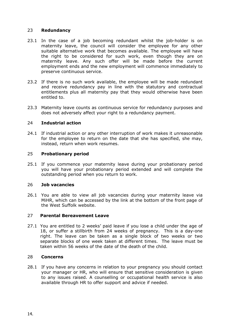# 23 **Redundancy**

- 23.1 In the case of a job becoming redundant whilst the job-holder is on maternity leave, the council will consider the employee for any other suitable alternative work that becomes available. The employee will have the right to be considered for such work, even though they are on maternity leave. Any such offer will be made before the current employment ends and the new employment will commence immediately to preserve continuous service.
- 23.2 If there is no such work available, the employee will be made redundant and receive redundancy pay in line with the statutory and contractual entitlements plus all maternity pay that they would otherwise have been entitled to.
- 23.3 Maternity leave counts as continuous service for redundancy purposes and does not adversely affect your right to a redundancy payment.

# 24 **Industrial action**

24.1 If industrial action or any other interruption of work makes it unreasonable for the employee to return on the date that she has specified, she may, instead, return when work resumes.

# 25 **Probationary period**

25.1 If you commence your maternity leave during your probationary period you will have your probationary period extended and will complete the outstanding period when you return to work.

# 26 **Job vacancies**

26.1 You are able to view all job vacancies during your maternity leave via MiHR, which can be accessed by the link at the bottom of the front page of the West Suffolk website.

# 27 **Parental Bereavement Leave**

27.1 You are entitled to 2 weeks' paid leave if you lose a child under the age of 18, or suffer a stillbirth from 24 weeks of pregnancy. This is a day-one right. The leave can be taken as a single block of two weeks or two separate blocks of one week taken at different times. The leave must be taken within 56 weeks of the date of the death of the child.

# 28 **Concerns**

28.1 If you have any concerns in relation to your pregnancy you should contact your manager or HR, who will ensure that sensitive consideration is given to any issues raised. A counselling or occupational health service is also available through HR to offer support and advice if needed.